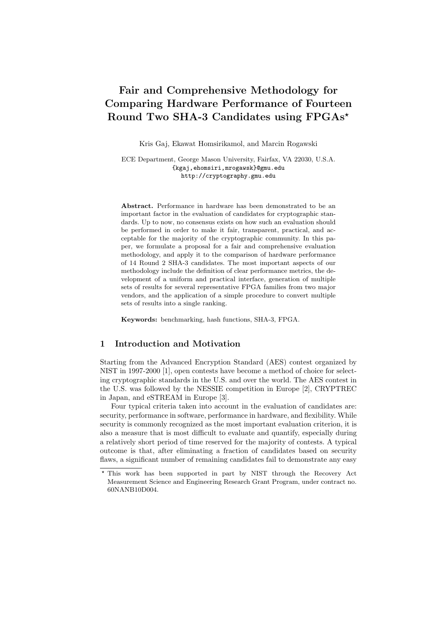# Fair and Comprehensive Methodology for Comparing Hardware Performance of Fourteen Round Two SHA-3 Candidates using FPGAs<sup>\*</sup>

Kris Gaj, Ekawat Homsirikamol, and Marcin Rogawski

ECE Department, George Mason University, Fairfax, VA 22030, U.S.A. {kgaj,ehomsiri,mrogawsk}@gmu.edu http://cryptography.gmu.edu

Abstract. Performance in hardware has been demonstrated to be an important factor in the evaluation of candidates for cryptographic standards. Up to now, no consensus exists on how such an evaluation should be performed in order to make it fair, transparent, practical, and acceptable for the majority of the cryptographic community. In this paper, we formulate a proposal for a fair and comprehensive evaluation methodology, and apply it to the comparison of hardware performance of 14 Round 2 SHA-3 candidates. The most important aspects of our methodology include the definition of clear performance metrics, the development of a uniform and practical interface, generation of multiple sets of results for several representative FPGA families from two major vendors, and the application of a simple procedure to convert multiple sets of results into a single ranking.

Keywords: benchmarking, hash functions, SHA-3, FPGA.

## 1 Introduction and Motivation

Starting from the Advanced Encryption Standard (AES) contest organized by NIST in 1997-2000 [1], open contests have become a method of choice for selecting cryptographic standards in the U.S. and over the world. The AES contest in the U.S. was followed by the NESSIE competition in Europe [2], CRYPTREC in Japan, and eSTREAM in Europe [3].

Four typical criteria taken into account in the evaluation of candidates are: security, performance in software, performance in hardware, and flexibility. While security is commonly recognized as the most important evaluation criterion, it is also a measure that is most difficult to evaluate and quantify, especially during a relatively short period of time reserved for the majority of contests. A typical outcome is that, after eliminating a fraction of candidates based on security flaws, a significant number of remaining candidates fail to demonstrate any easy

<sup>?</sup> This work has been supported in part by NIST through the Recovery Act Measurement Science and Engineering Research Grant Program, under contract no. 60NANB10D004.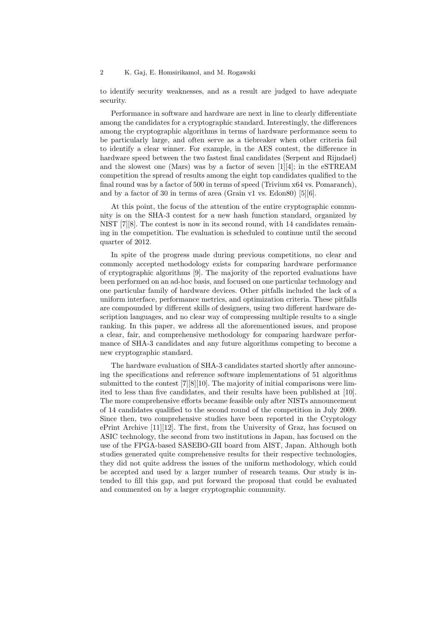#### 2 K. Gaj, E. Homsirikamol, and M. Rogawski

to identify security weaknesses, and as a result are judged to have adequate security.

Performance in software and hardware are next in line to clearly differentiate among the candidates for a cryptographic standard. Interestingly, the differences among the cryptographic algorithms in terms of hardware performance seem to be particularly large, and often serve as a tiebreaker when other criteria fail to identify a clear winner. For example, in the AES contest, the difference in hardware speed between the two fastest final candidates (Serpent and Rijndael) and the slowest one (Mars) was by a factor of seven [1][4]; in the eSTREAM competition the spread of results among the eight top candidates qualified to the final round was by a factor of 500 in terms of speed (Trivium x64 vs. Pomaranch), and by a factor of 30 in terms of area (Grain v1 vs. Edon80) [5][6].

At this point, the focus of the attention of the entire cryptographic community is on the SHA-3 contest for a new hash function standard, organized by NIST [7][8]. The contest is now in its second round, with 14 candidates remaining in the competition. The evaluation is scheduled to continue until the second quarter of 2012.

In spite of the progress made during previous competitions, no clear and commonly accepted methodology exists for comparing hardware performance of cryptographic algorithms [9]. The majority of the reported evaluations have been performed on an ad-hoc basis, and focused on one particular technology and one particular family of hardware devices. Other pitfalls included the lack of a uniform interface, performance metrics, and optimization criteria. These pitfalls are compounded by different skills of designers, using two different hardware description languages, and no clear way of compressing multiple results to a single ranking. In this paper, we address all the aforementioned issues, and propose a clear, fair, and comprehensive methodology for comparing hardware performance of SHA-3 candidates and any future algorithms competing to become a new cryptographic standard.

The hardware evaluation of SHA-3 candidates started shortly after announcing the specifications and reference software implementations of 51 algorithms submitted to the contest [7][8][10]. The majority of initial comparisons were limited to less than five candidates, and their results have been published at [10]. The more comprehensive efforts became feasible only after NISTs announcement of 14 candidates qualified to the second round of the competition in July 2009. Since then, two comprehensive studies have been reported in the Cryptology ePrint Archive [11][12]. The first, from the University of Graz, has focused on ASIC technology, the second from two institutions in Japan, has focused on the use of the FPGA-based SASEBO-GII board from AIST, Japan. Although both studies generated quite comprehensive results for their respective technologies, they did not quite address the issues of the uniform methodology, which could be accepted and used by a larger number of research teams. Our study is intended to fill this gap, and put forward the proposal that could be evaluated and commented on by a larger cryptographic community.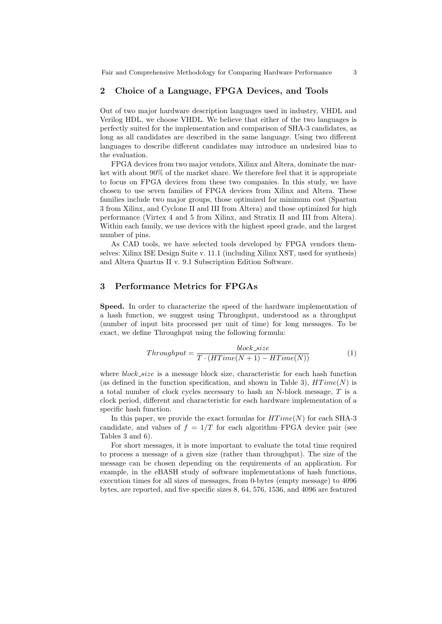## 2 Choice of a Language, FPGA Devices, and Tools

Out of two major hardware description languages used in industry, VHDL and Verilog HDL, we choose VHDL. We believe that either of the two languages is perfectly suited for the implementation and comparison of SHA-3 candidates, as long as all candidates are described in the same language. Using two different languages to describe different candidates may introduce an undesired bias to the evaluation.

FPGA devices from two major vendors, Xilinx and Altera, dominate the market with about 90% of the market share. We therefore feel that it is appropriate to focus on FPGA devices from these two companies. In this study, we have chosen to use seven families of FPGA devices from Xilinx and Altera. These families include two major groups, those optimized for minimum cost (Spartan 3 from Xilinx, and Cyclone II and III from Altera) and those optimized for high performance (Virtex 4 and 5 from Xilinx, and Stratix II and III from Altera). Within each family, we use devices with the highest speed grade, and the largest number of pins.

As CAD tools, we have selected tools developed by FPGA vendors themselves: Xilinx ISE Design Suite v. 11.1 (including Xilinx XST, used for synthesis) and Altera Quartus II v. 9.1 Subscription Edition Software.

#### 3 Performance Metrics for FPGAs

Speed. In order to characterize the speed of the hardware implementation of a hash function, we suggest using Throughput, understood as a throughput (number of input bits processed per unit of time) for long messages. To be exact, we define Throughput using the following formula:

$$
Throughout = \frac{block.size}{T \cdot (HTime(N+1) - HTime(N))}
$$
\n(1)

where  $block.size$  is a message block size, characteristic for each hash function (as defined in the function specification, and shown in Table 3),  $HTime(N)$  is a total number of clock cycles necessary to hash an N-block message, T is a clock period, different and characteristic for each hardware implementation of a specific hash function.

In this paper, we provide the exact formulas for  $HTime(N)$  for each SHA-3 candidate, and values of  $f = 1/T$  for each algorithm–FPGA device pair (see Tables 3 and 6).

For short messages, it is more important to evaluate the total time required to process a message of a given size (rather than throughput). The size of the message can be chosen depending on the requirements of an application. For example, in the eBASH study of software implementations of hash functions, execution times for all sizes of messages, from 0-bytes (empty message) to 4096 bytes, are reported, and five specific sizes 8, 64, 576, 1536, and 4096 are featured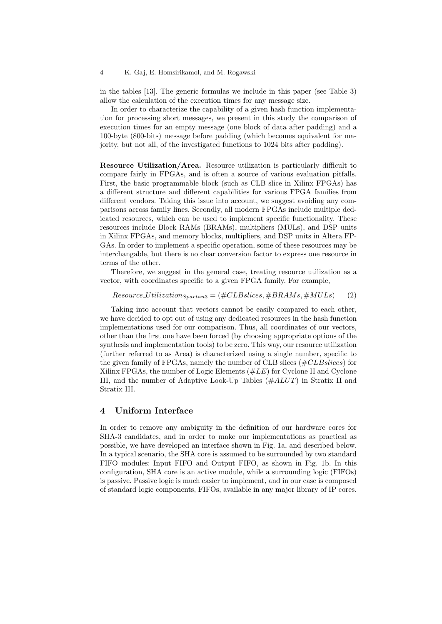in the tables [13]. The generic formulas we include in this paper (see Table 3) allow the calculation of the execution times for any message size.

In order to characterize the capability of a given hash function implementation for processing short messages, we present in this study the comparison of execution times for an empty message (one block of data after padding) and a 100-byte (800-bits) message before padding (which becomes equivalent for majority, but not all, of the investigated functions to 1024 bits after padding).

Resource Utilization/Area. Resource utilization is particularly difficult to compare fairly in FPGAs, and is often a source of various evaluation pitfalls. First, the basic programmable block (such as CLB slice in Xilinx FPGAs) has a different structure and different capabilities for various FPGA families from different vendors. Taking this issue into account, we suggest avoiding any comparisons across family lines. Secondly, all modern FPGAs include multiple dedicated resources, which can be used to implement specific functionality. These resources include Block RAMs (BRAMs), multipliers (MULs), and DSP units in Xilinx FPGAs, and memory blocks, multipliers, and DSP units in Altera FP-GAs. In order to implement a specific operation, some of these resources may be interchangable, but there is no clear conversion factor to express one resource in terms of the other.

Therefore, we suggest in the general case, treating resource utilization as a vector, with coordinates specific to a given FPGA family. For example,

#### $Resource\_Utilization_{Spartan3} = (\#CLB slices, \#BRAMS, \#MULs)$  (2)

Taking into account that vectors cannot be easily compared to each other, we have decided to opt out of using any dedicated resources in the hash function implementations used for our comparison. Thus, all coordinates of our vectors, other than the first one have been forced (by choosing appropriate options of the synthesis and implementation tools) to be zero. This way, our resource utilization (further referred to as Area) is characterized using a single number, specific to the given family of FPGAs, namely the number of CLB slices (#CLBslices) for Xilinx FPGAs, the number of Logic Elements  $(\#LE)$  for Cyclone II and Cyclone III, and the number of Adaptive Look-Up Tables (#ALUT) in Stratix II and Stratix III.

#### 4 Uniform Interface

In order to remove any ambiguity in the definition of our hardware cores for SHA-3 candidates, and in order to make our implementations as practical as possible, we have developed an interface shown in Fig. 1a, and described below. In a typical scenario, the SHA core is assumed to be surrounded by two standard FIFO modules: Input FIFO and Output FIFO, as shown in Fig. 1b. In this configuration, SHA core is an active module, while a surrounding logic (FIFOs) is passive. Passive logic is much easier to implement, and in our case is composed of standard logic components, FIFOs, available in any major library of IP cores.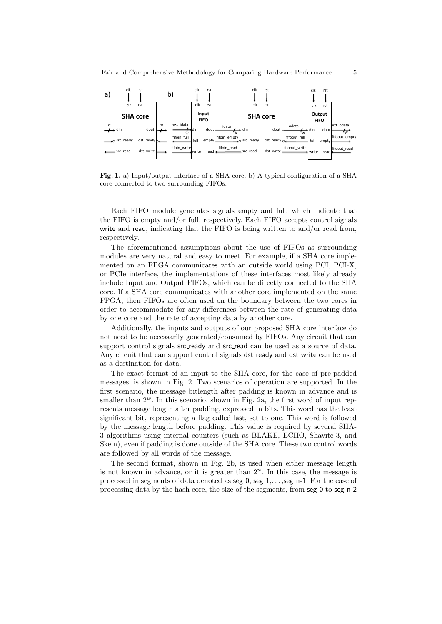

Fig. 1. a) Input/output interface of a SHA core. b) A typical configuration of a SHA core connected to two surrounding FIFOs.

Each FIFO module generates signals empty and full, which indicate that the FIFO is empty and/or full, respectively. Each FIFO accepts control signals write and read, indicating that the FIFO is being written to and/or read from, respectively.

The aforementioned assumptions about the use of FIFOs as surrounding modules are very natural and easy to meet. For example, if a SHA core implemented on an FPGA communicates with an outside world using PCI, PCI-X, or PCIe interface, the implementations of these interfaces most likely already include Input and Output FIFOs, which can be directly connected to the SHA core. If a SHA core communicates with another core implemented on the same FPGA, then FIFOs are often used on the boundary between the two cores in order to accommodate for any differences between the rate of generating data by one core and the rate of accepting data by another core.

Additionally, the inputs and outputs of our proposed SHA core interface do not need to be necessarily generated/consumed by FIFOs. Any circuit that can support control signals src\_ready and src\_read can be used as a source of data. Any circuit that can support control signals dst\_ready and dst\_write can be used as a destination for data.

The exact format of an input to the SHA core, for the case of pre-padded messages, is shown in Fig. 2. Two scenarios of operation are supported. In the first scenario, the message bitlength after padding is known in advance and is smaller than  $2^w$ . In this scenario, shown in Fig. 2a, the first word of input represents message length after padding, expressed in bits. This word has the least significant bit, representing a flag called last, set to one. This word is followed by the message length before padding. This value is required by several SHA-3 algorithms using internal counters (such as BLAKE, ECHO, Shavite-3, and Skein), even if padding is done outside of the SHA core. These two control words are followed by all words of the message.

The second format, shown in Fig. 2b, is used when either message length is not known in advance, or it is greater than  $2<sup>w</sup>$ . In this case, the message is processed in segments of data denoted as  $seg_0$ ,  $seg_1, \ldots, seg_n-1$ . For the ease of processing data by the hash core, the size of the segments, from seg<sub>-0</sub> to seg<sub>-n-2</sub>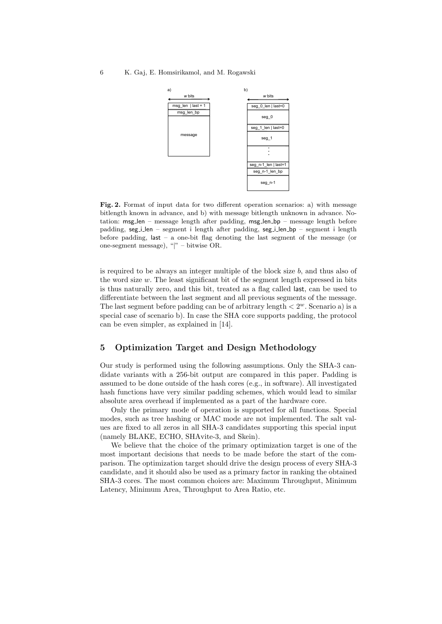#### 6 K. Gaj, E. Homsirikamol, and M. Rogawski



Fig. 2. Format of input data for two different operation scenarios: a) with message bitlength known in advance, and b) with message bitlength unknown in advance. Notation: msg len – message length after padding, msg len bp – message length before padding, seg i len – segment i length after padding, seg i len bp – segment i length before padding, last  $-$  a one-bit flag denoting the last segment of the message (or one-segment message), "|" – bitwise OR.

is required to be always an integer multiple of the block size b, and thus also of the word size  $w$ . The least significant bit of the segment length expressed in bits is thus naturally zero, and this bit, treated as a flag called last, can be used to differentiate between the last segment and all previous segments of the message. The last segment before padding can be of arbitrary length  $\langle 2^w \rangle$ . Scenario a) is a special case of scenario b). In case the SHA core supports padding, the protocol can be even simpler, as explained in [14].

## 5 Optimization Target and Design Methodology

Our study is performed using the following assumptions. Only the SHA-3 candidate variants with a 256-bit output are compared in this paper. Padding is assumed to be done outside of the hash cores (e.g., in software). All investigated hash functions have very similar padding schemes, which would lead to similar absolute area overhead if implemented as a part of the hardware core.

Only the primary mode of operation is supported for all functions. Special modes, such as tree hashing or MAC mode are not implemented. The salt values are fixed to all zeros in all SHA-3 candidates supporting this special input (namely BLAKE, ECHO, SHAvite-3, and Skein).

We believe that the choice of the primary optimization target is one of the most important decisions that needs to be made before the start of the comparison. The optimization target should drive the design process of every SHA-3 candidate, and it should also be used as a primary factor in ranking the obtained SHA-3 cores. The most common choices are: Maximum Throughput, Minimum Latency, Minimum Area, Throughput to Area Ratio, etc.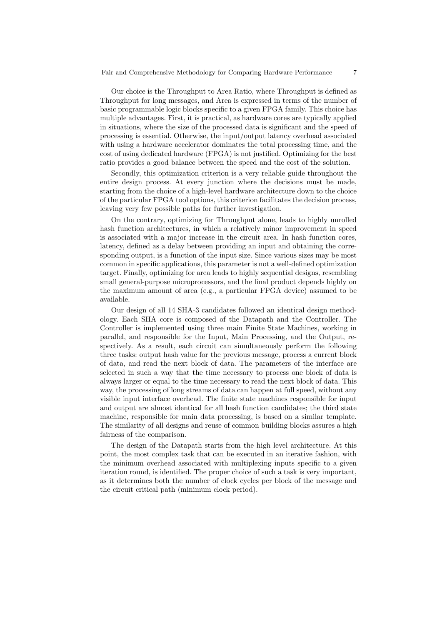Our choice is the Throughput to Area Ratio, where Throughput is defined as Throughput for long messages, and Area is expressed in terms of the number of basic programmable logic blocks specific to a given FPGA family. This choice has multiple advantages. First, it is practical, as hardware cores are typically applied in situations, where the size of the processed data is significant and the speed of processing is essential. Otherwise, the input/output latency overhead associated with using a hardware accelerator dominates the total processing time, and the cost of using dedicated hardware (FPGA) is not justified. Optimizing for the best ratio provides a good balance between the speed and the cost of the solution.

Secondly, this optimization criterion is a very reliable guide throughout the entire design process. At every junction where the decisions must be made, starting from the choice of a high-level hardware architecture down to the choice of the particular FPGA tool options, this criterion facilitates the decision process, leaving very few possible paths for further investigation.

On the contrary, optimizing for Throughput alone, leads to highly unrolled hash function architectures, in which a relatively minor improvement in speed is associated with a major increase in the circuit area. In hash function cores, latency, defined as a delay between providing an input and obtaining the corresponding output, is a function of the input size. Since various sizes may be most common in specific applications, this parameter is not a well-defined optimization target. Finally, optimizing for area leads to highly sequential designs, resembling small general-purpose microprocessors, and the final product depends highly on the maximum amount of area (e.g., a particular FPGA device) assumed to be available.

Our design of all 14 SHA-3 candidates followed an identical design methodology. Each SHA core is composed of the Datapath and the Controller. The Controller is implemented using three main Finite State Machines, working in parallel, and responsible for the Input, Main Processing, and the Output, respectively. As a result, each circuit can simultaneously perform the following three tasks: output hash value for the previous message, process a current block of data, and read the next block of data. The parameters of the interface are selected in such a way that the time necessary to process one block of data is always larger or equal to the time necessary to read the next block of data. This way, the processing of long streams of data can happen at full speed, without any visible input interface overhead. The finite state machines responsible for input and output are almost identical for all hash function candidates; the third state machine, responsible for main data processing, is based on a similar template. The similarity of all designs and reuse of common building blocks assures a high fairness of the comparison.

The design of the Datapath starts from the high level architecture. At this point, the most complex task that can be executed in an iterative fashion, with the minimum overhead associated with multiplexing inputs specific to a given iteration round, is identified. The proper choice of such a task is very important, as it determines both the number of clock cycles per block of the message and the circuit critical path (minimum clock period).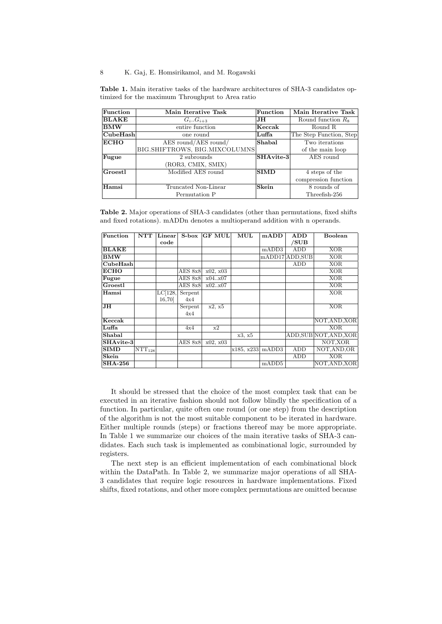Table 1. Main iterative tasks of the hardware architectures of SHA-3 candidates optimized for the maximum Throughput to Area ratio

| <b>Function</b> | Main Iterative Task           | <b>Function</b>      | Main Iterative Task     |
|-----------------|-------------------------------|----------------------|-------------------------|
| <b>BLAKE</b>    | $G_i.G_{i+3}$                 | <b>JH</b>            | Round function $R_8$    |
| BMW             | entire function               | Keccak               | Round R                 |
| CubeHash        | one round                     | Luffa                | The Step Function, Step |
| ECHO            | AES round/AES round/          | Shabal               | Two iterations          |
|                 | BIG.SHIFTROWS, BIG.MIXCOLUMNS |                      | of the main loop        |
| Fugue           | 2 subrounds                   | $ \text{SHA}$ vite-3 | AES round               |
|                 | (ROR3, CMIX, SMIX)            |                      |                         |
| Groestl         | Modified AES round            | <b>SIMD</b>          | 4 steps of the          |
|                 |                               |                      | compression function    |
| Hamsi           | Truncated Non-Linear          | Skein                | 8 rounds of             |
|                 | Permutation P                 |                      | Threefish-256           |

Table 2. Major operations of SHA-3 candidates (other than permutations, fixed shifts and fixed rotations). mADDn denotes a multioperand addition with n operands.

| Function       | <b>NTT</b>  | Linear  | S-box                       | <b>GF MUL</b> | MUL                | mADD  | <b>ADD</b>     | <b>Boolean</b>         |
|----------------|-------------|---------|-----------------------------|---------------|--------------------|-------|----------------|------------------------|
|                |             | code    |                             |               |                    |       | /SUB           |                        |
| <b>BLAKE</b>   |             |         |                             |               |                    | mADD3 | ADD            | XOR.                   |
| <b>BMW</b>     |             |         |                             |               |                    |       | mADD17 ADD.SUB | XOR                    |
| CubeHash       |             |         |                             |               |                    |       | ADD            | <b>XOR</b>             |
| <b>ECHO</b>    |             |         | $\overline{\text{AES}}$ 8x8 | x02, x03      |                    |       |                | XOR.                   |
| Fugue          |             |         | AES $8x8$                   | x04x07        |                    |       |                | XOR                    |
| Groestl        |             |         | AES $8x8$                   | x02x07        |                    |       |                | <b>XOR</b>             |
| Hamsi          |             | LC[128, | Serpent                     |               |                    |       |                | <b>XOR</b>             |
|                |             | 16,70   | 4x4                         |               |                    |       |                |                        |
| JH             |             |         | Serpent                     | x2, x5        |                    |       |                | <b>XOR</b>             |
|                |             |         | 4x4                         |               |                    |       |                |                        |
| Keccak         |             |         |                             |               |                    |       |                | NOT, AND, XOR          |
| Luffa          |             |         | 4x4                         | x2            |                    |       |                | XOR.                   |
| Shabal         |             |         |                             |               | x3, x5             |       |                | ADD, SUB NOT, AND, XOR |
| SHAvite-3      |             |         | AES 8x8                     | x02, x03      |                    |       |                | NOT.XOR                |
| <b>SIMD</b>    | $NTT_{128}$ |         |                             |               | $x185, x233$ mADD3 |       | ADD            | NOT,AND,OR             |
| Skein          |             |         |                             |               |                    |       | ADD            | <b>XOR</b>             |
| <b>SHA-256</b> |             |         |                             |               |                    | mADD5 |                | NOT, AND, XOR          |

It should be stressed that the choice of the most complex task that can be executed in an iterative fashion should not follow blindly the specification of a function. In particular, quite often one round (or one step) from the description of the algorithm is not the most suitable component to be iterated in hardware. Either multiple rounds (steps) or fractions thereof may be more appropriate. In Table 1 we summarize our choices of the main iterative tasks of SHA-3 candidates. Each such task is implemented as combinational logic, surrounded by registers.

The next step is an efficient implementation of each combinational block within the DataPath. In Table 2, we summarize major operations of all SHA-3 candidates that require logic resources in hardware implementations. Fixed shifts, fixed rotations, and other more complex permutations are omitted because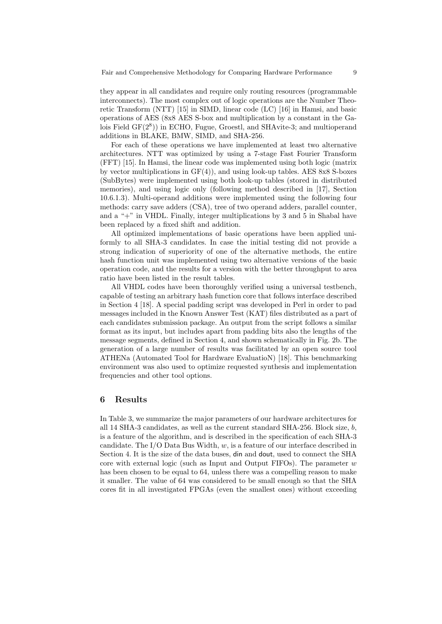they appear in all candidates and require only routing resources (programmable interconnects). The most complex out of logic operations are the Number Theoretic Transform (NTT) [15] in SIMD, linear code (LC) [16] in Hamsi, and basic operations of AES (8x8 AES S-box and multiplication by a constant in the Galois Field  $GF(2^8)$  in ECHO, Fugue, Groestl, and SHAvite-3; and multioperand additions in BLAKE, BMW, SIMD, and SHA-256.

For each of these operations we have implemented at least two alternative architectures. NTT was optimized by using a 7-stage Fast Fourier Transform (FFT) [15]. In Hamsi, the linear code was implemented using both logic (matrix by vector multiplications in  $GF(4)$ , and using look-up tables. AES 8x8 S-boxes (SubBytes) were implemented using both look-up tables (stored in distributed memories), and using logic only (following method described in [17], Section 10.6.1.3). Multi-operand additions were implemented using the following four methods: carry save adders (CSA), tree of two operand adders, parallel counter, and a "+" in VHDL. Finally, integer multiplications by 3 and 5 in Shabal have been replaced by a fixed shift and addition.

All optimized implementations of basic operations have been applied uniformly to all SHA-3 candidates. In case the initial testing did not provide a strong indication of superiority of one of the alternative methods, the entire hash function unit was implemented using two alternative versions of the basic operation code, and the results for a version with the better throughput to area ratio have been listed in the result tables.

All VHDL codes have been thoroughly verified using a universal testbench, capable of testing an arbitrary hash function core that follows interface described in Section 4 [18]. A special padding script was developed in Perl in order to pad messages included in the Known Answer Test (KAT) files distributed as a part of each candidates submission package. An output from the script follows a similar format as its input, but includes apart from padding bits also the lengths of the message segments, defined in Section 4, and shown schematically in Fig. 2b. The generation of a large number of results was facilitated by an open source tool ATHENa (Automated Tool for Hardware EvaluatioN) [18]. This benchmarking environment was also used to optimize requested synthesis and implementation frequencies and other tool options.

#### 6 Results

In Table 3, we summarize the major parameters of our hardware architectures for all 14 SHA-3 candidates, as well as the current standard SHA-256. Block size, b, is a feature of the algorithm, and is described in the specification of each SHA-3 candidate. The I/O Data Bus Width,  $w$ , is a feature of our interface described in Section 4. It is the size of the data buses, din and dout, used to connect the SHA core with external logic (such as Input and Output FIFOs). The parameter  $w$ has been chosen to be equal to 64, unless there was a compelling reason to make it smaller. The value of 64 was considered to be small enough so that the SHA cores fit in all investigated FPGAs (even the smallest ones) without exceeding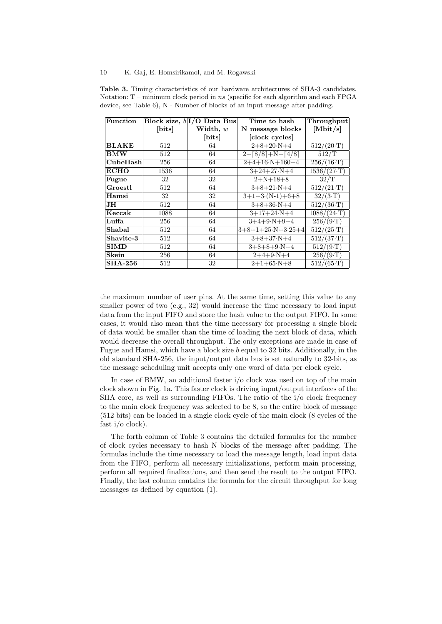| <b>Function</b> |                 | Block size, $b I/O$ Data Bus | Time to hash                  | Throughput                         |
|-----------------|-----------------|------------------------------|-------------------------------|------------------------------------|
|                 | $[\text{bits}]$ | Width, $w$                   | N message blocks              | [Mbit/s]                           |
|                 |                 | [bits]                       | [clock cycles]                |                                    |
| <b>BLAKE</b>    | 512             | 64                           | $2+8+20\cdot N+4$             | $512/(20 \cdot T)$                 |
| <b>BMW</b>      | 512             | 64                           | $2+[8/8]+N+[4/8]$             | 512/T                              |
| CubeHash        | 256             | 64                           | $2+4+16\cdot N+160+4$         | $\overline{256}/(16\cdot\text{T})$ |
| <b>ECHO</b>     | 1536            | 64                           | $3+24+27\cdot N+4$            | $1536/(27 \cdot T)$                |
| Fugue           | 32              | 32                           | $2+N+18+8$                    | 32/T                               |
| Groestl         | 512             | 64                           | $3+8+21\cdot N+4$             | $512/(21 \cdot T)$                 |
| Hamsi           | 32              | 32                           | $3+1+3( N-1)+6+8$             | $32/(3 \cdot T)$                   |
| JH              | 512             | 64                           | $3+8+36\cdot N+4$             | $512/(36 \cdot T)$                 |
| Keccak          | 1088            | 64                           | $3+17+24\cdot N+4$            | $1088/(24 \cdot T)$                |
| Luffa           | 256             | 64                           | $3+4+9 \cdot N+9+4$           | $256/(9 \cdot T)$                  |
| Shabal          | 512             | 64                           | $3+8+1+25\cdot N+3\cdot 25+4$ | $512/(25 \cdot T)$                 |
| Shavite-3       | 512             | 64                           | $3+8+37\cdot N+4$             | $512/(37 \cdot T)$                 |
| <b>SIMD</b>     | 512             | 64                           | $3+8+8+9\cdot N+4$            | $512/(9 \cdot T)$                  |
| Skein           | 256             | 64                           | $2+4+9 \cdot N+4$             | $256/(9 \cdot T)$                  |
| <b>SHA-256</b>  | 512             | 32                           | $2+1+65\cdot N+8$             | $512/(65 \text{ T})$               |

Table 3. Timing characteristics of our hardware architectures of SHA-3 candidates. Notation:  $T$  – minimum clock period in ns (specific for each algorithm and each FPGA device, see Table 6), N - Number of blocks of an input message after padding.

the maximum number of user pins. At the same time, setting this value to any smaller power of two (e.g., 32) would increase the time necessary to load input data from the input FIFO and store the hash value to the output FIFO. In some cases, it would also mean that the time necessary for processing a single block of data would be smaller than the time of loading the next block of data, which would decrease the overall throughput. The only exceptions are made in case of Fugue and Hamsi, which have a block size b equal to 32 bits. Additionally, in the old standard SHA-256, the input/output data bus is set naturally to 32-bits, as the message scheduling unit accepts only one word of data per clock cycle.

In case of BMW, an additional faster i/o clock was used on top of the main clock shown in Fig. 1a. This faster clock is driving input/output interfaces of the SHA core, as well as surrounding FIFOs. The ratio of the i/o clock frequency to the main clock frequency was selected to be 8, so the entire block of message (512 bits) can be loaded in a single clock cycle of the main clock (8 cycles of the fast i/o clock).

The forth column of Table 3 contains the detailed formulas for the number of clock cycles necessary to hash N blocks of the message after padding. The formulas include the time necessary to load the message length, load input data from the FIFO, perform all necessary initializations, perform main processing, perform all required finalizations, and then send the result to the output FIFO. Finally, the last column contains the formula for the circuit throughput for long messages as defined by equation (1).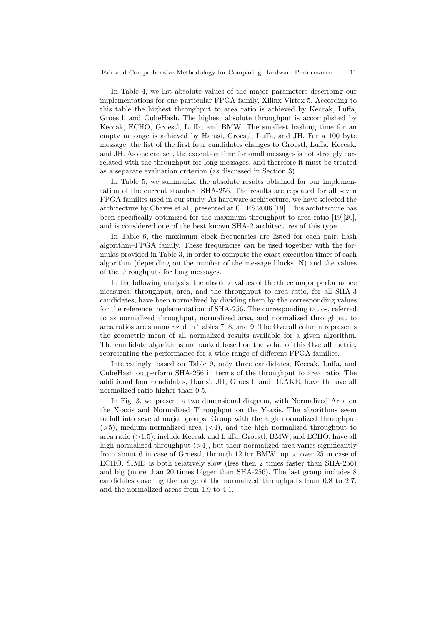In Table 4, we list absolute values of the major parameters describing our implementations for one particular FPGA family, Xilinx Virtex 5. According to this table the highest throughput to area ratio is achieved by Keccak, Luffa, Groestl, and CubeHash. The highest absolute throughput is accomplished by Keccak, ECHO, Groestl, Luffa, and BMW. The smallest hashing time for an empty message is achieved by Hamsi, Groestl, Luffa, and JH. For a 100 byte message, the list of the first four candidates changes to Groestl, Luffa, Keccak, and JH. As one can see, the execution time for small messages is not strongly correlated with the throughput for long messages, and therefore it must be treated as a separate evaluation criterion (as discussed in Section 3).

In Table 5, we summarize the absolute results obtained for our implementation of the current standard SHA-256. The results are repeated for all seven FPGA families used in our study. As hardware architecture, we have selected the architecture by Chaves et al., presented at CHES 2006 [19]. This architecture has been specifically optimized for the maximum throughput to area ratio [19][20], and is considered one of the best known SHA-2 architectures of this type.

In Table 6, the maximum clock frequencies are listed for each pair: hash algorithm–FPGA family. These frequencies can be used together with the formulas provided in Table 3, in order to compute the exact execution times of each algorithm (depending on the number of the message blocks, N) and the values of the throughputs for long messages.

In the following analysis, the absolute values of the three major performance measures: throughput, area, and the throughput to area ratio, for all SHA-3 candidates, have been normalized by dividing them by the corresponding values for the reference implementation of SHA-256. The corresponding ratios, referred to as normalized throughput, normalized area, and normalized throughput to area ratios are summarized in Tables 7, 8, and 9. The Overall column represents the geometric mean of all normalized results available for a given algorithm. The candidate algorithms are ranked based on the value of this Overall metric, representing the performance for a wide range of different FPGA families.

Interestingly, based on Table 9, only three candidates, Keccak, Luffa, and CubeHash outperform SHA-256 in terms of the throughput to area ratio. The additional four candidates, Hamsi, JH, Groestl, and BLAKE, have the overall normalized ratio higher than 0.5.

In Fig. 3, we present a two dimensional diagram, with Normalized Area on the X-axis and Normalized Throughput on the Y-axis. The algorithms seem to fall into several major groups. Group with the high normalized throughput  $(55)$ , medium normalized area  $(4)$ , and the high normalized throughput to area ratio (>1.5), include Keccak and Luffa. Groestl, BMW, and ECHO, have all high normalized throughput  $(>4)$ , but their normalized area varies significantly from about 6 in case of Groestl, through 12 for BMW, up to over 25 in case of ECHO. SIMD is both relatively slow (less then 2 times faster than SHA-256) and big (more than 20 times bigger than SHA-256). The last group includes 8 candidates covering the range of the normalized throughputs from 0.8 to 2.7, and the normalized areas from 1.9 to 4.1.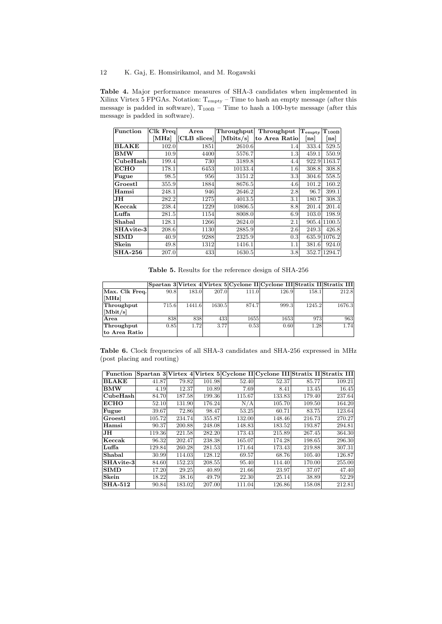Table 4. Major performance measures of SHA-3 candidates when implemented in Xilinx Virtex 5 FPGAs. Notation: T<sub>empty</sub> – Time to hash an empty message (after this message is padded in software),  $T_{100B}$  – Time to hash a 100-byte message (after this message is padded in software).

| <b>Function</b> | $C$ lk Freq | Area         | Throughput | Throughput       | $\rm T_{empty}$ | $ \mathbf{T}_{100\mathrm{B}} $ |
|-----------------|-------------|--------------|------------|------------------|-----------------|--------------------------------|
|                 | [MHz]       | [CLB slices] | [Mbits/s]  | to Area Ratio    | [ns]            | [ns]                           |
| <b>BLAKE</b>    | 102.0       | 1851         | 2610.6     | 1.4              | 333.4           | 529.5                          |
| $_{\rm BMW}$    | 10.9        | 4400         | 5576.7     | 1.3              | 459.1           | 550.9                          |
| CubeHash        | 199.4       | 730          | 3189.8     | 4.4              | 922.9           | 1163.7                         |
| <b>ECHO</b>     | 178.1       | 6453         | 10133.4    | 1.6              | 308.8           | 308.8                          |
| Fugue           | 98.5        | 956          | 3151.2     | 3.3              | 304.6           | 558.5                          |
| Groestl         | 355.9       | 1884         | 8676.5     | 4.6              | 101.2           | 160.2                          |
| Hamsi           | 248.1       | 946          | 2646.2     | 2.8 <sup>°</sup> | 96.7            | 399.1                          |
| JH              | 282.2       | 1275         | 4013.5     | 3.1              | 180.7           | 308.3                          |
| Keccak          | 238.4       | 1229         | 10806.5    | 8.8              | 201.4           | 201.4                          |
| Luffa           | 281.5       | 1154         | 8008.0     | 6.9              | 103.0           | 198.9                          |
| Shabal          | 128.1       | 1266         | 2624.0     | 2.1              |                 | 905.4 1100.5                   |
| SHAvite-3       | 208.6       | 1130         | 2885.9     | 2.6              | 249.3           | 426.8                          |
| <b>SIMD</b>     | 40.9        | 9288         | 2325.9     | 0.3              |                 | 635.9 1076.2                   |
| Skein           | 49.8        | 1312         | 1416.1     | 1.1              | 381.6           | 924.0                          |
| <b>SHA-256</b>  | 207.0       | 433          | 1630.5     | 3.8              |                 | 352.7 1294.7                   |

Table 5. Results for the reference design of SHA-256

|                |       |        |        |       | Spartan 3 Virtex 4 Virtex 5 Cyclone II Cyclone III Stratix II Stratix III |        |        |
|----------------|-------|--------|--------|-------|---------------------------------------------------------------------------|--------|--------|
| Max. Clk Freq. | 90.8  | 183.01 | 207.0  | 111.0 | 126.9                                                                     | 158.1  | 212.8  |
| [MHz]          |       |        |        |       |                                                                           |        |        |
| Throughput     | 715.6 | 1441.6 | 1630.5 | 874.7 | 999.3                                                                     | 1245.2 | 1676.3 |
| [Mbit/s]       |       |        |        |       |                                                                           |        |        |
| Area           | 838   | 838    | 433    | 1655  | 1653                                                                      | 973    | 963    |
| Throughput     | 0.85  | 1.72   | 3.77   | 0.53  | 0.60                                                                      | 1.28   | 1.74   |
| to Area Ratio  |       |        |        |       |                                                                           |        |        |

Table 6. Clock frequencies of all SHA-3 candidates and SHA-256 expressed in MHz (post placing and routing)

| <b>Function</b>        |        |        |        |        | Spartan 3 Virtex 4 Virtex 5 Cyclone II Cyclone III Stratix II Stratix III |        |        |
|------------------------|--------|--------|--------|--------|---------------------------------------------------------------------------|--------|--------|
| BLAKE                  | 41.87  | 79.82  | 101.98 | 52.40  | 52.37                                                                     | 85.77  | 109.21 |
| <b>BMW</b>             | 4.19   | 12.37  | 10.89  | 7.69   | 8.41                                                                      | 13.45  | 16.45  |
| CubeHash               | 84.70  | 187.58 | 199.36 | 115.67 | 133.83                                                                    | 179.40 | 237.64 |
| ECHO                   | 52.10  | 131.90 | 176.24 | N/A    | 105.70                                                                    | 109.50 | 164.20 |
| Fugue                  | 39.67  | 72.86  | 98.47  | 53.25  | 60.71                                                                     | 83.75  | 123.64 |
| $ {\rm Groest} $       | 105.72 | 234.74 | 355.87 | 132.00 | 148.46                                                                    | 216.73 | 270.27 |
| Hamsi                  | 90.37  | 200.88 | 248.08 | 148.83 | 183.52                                                                    | 193.87 | 294.81 |
| JH                     | 119.36 | 221.58 | 282.20 | 173.43 | 215.89                                                                    | 267.45 | 364.30 |
| Keccak                 | 96.32  | 202.47 | 238.38 | 165.07 | 174.28                                                                    | 198.65 | 296.30 |
| Luffa                  | 129.84 | 260.28 | 281.53 | 171.64 | 173.43                                                                    | 219.88 | 307.31 |
| Shabal                 | 30.99  | 114.03 | 128.12 | 69.57  | 68.76                                                                     | 105.40 | 126.87 |
| SHAvite-3              | 84.60  | 152.23 | 208.55 | 95.40  | 114.40                                                                    | 170.00 | 255.00 |
| SIMD                   | 17.20  | 29.25  | 40.89  | 21.66  | 23.97                                                                     | 37.07  | 47.40  |
| $ S$ kein              | 18.22  | 38.16  | 49.79  | 22.30  | 25.14                                                                     | 38.89  | 52.29  |
| $\rm_{SHA\text{-}512}$ | 90.84  | 183.02 | 207.00 | 111.04 | 126.86                                                                    | 158.08 | 212.81 |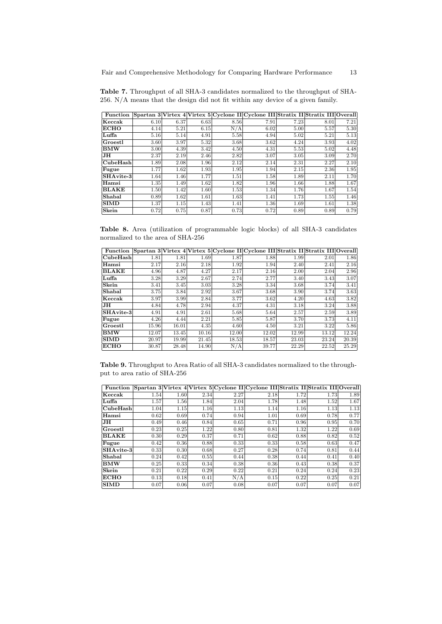Table 7. Throughput of all SHA-3 candidates normalized to the throughput of SHA-256. N/A means that the design did not fit within any device of a given family.

| Function     |      |      |      |      | Spartan 3 Virtex 4 Virtex 5 Cyclone II Cyclone III Stratix II Stratix III Overall |      |      |      |
|--------------|------|------|------|------|-----------------------------------------------------------------------------------|------|------|------|
| Keccak       | 6.10 | 6.37 | 6.63 | 8.56 | 7.91                                                                              | 7.23 | 8.01 | 7.21 |
| <b>ECHO</b>  | 4.14 | 5.21 | 6.15 | N/A  | 6.02                                                                              | 5.00 | 5.57 | 5.30 |
| Luffa        | 5.16 | 5.14 | 4.91 | 5.58 | 4.94                                                                              | 5.02 | 5.21 | 5.13 |
| Groestl      | 3.60 | 3.97 | 5.32 | 3.68 | 3.62                                                                              | 4.24 | 3.93 | 4.02 |
| <b>BMW</b>   | 3.00 | 4.39 | 3.42 | 4.50 | 4.31                                                                              | 5.53 | 5.02 | 4.48 |
| JH           | 2.37 | 2.19 | 2.46 | 2.82 | 3.07                                                                              | 3.05 | 3.09 | 2.70 |
| CubeHash     | 1.89 | 2.08 | 1.96 | 2.12 | 2.14                                                                              | 2.31 | 2.27 | 2.10 |
| Fugue        | 1.77 | 1.62 | 1.93 | 1.95 | 1.94                                                                              | 2.15 | 2.36 | 1.95 |
| SHAvite-3    | 1.64 | 1.46 | 1.77 | 1.51 | 1.58                                                                              | 1.89 | 2.11 | 1.70 |
| Hamsi        | 1.35 | 1.49 | 1.62 | 1.82 | 1.96                                                                              | 1.66 | 1.88 | 1.67 |
| <b>BLAKE</b> | 1.50 | 1.42 | 1.60 | 1.53 | 1.34                                                                              | 1.76 | 1.67 | 1.54 |
| Shabal       | 0.89 | 1.62 | 1.61 | 1.63 | 1.41                                                                              | 1.73 | 1.55 | 1.46 |
| <b>SIMD</b>  | 1.37 | 1.15 | 1.43 | 1.41 | 1.36                                                                              | 1.69 | 1.61 | 1.38 |
| Skein        | 0.72 | 0.75 | 0.87 | 0.73 | 0.72                                                                              | 0.89 | 0.89 | 0.79 |

Table 8. Area (utilization of programmable logic blocks) of all SHA-3 candidates normalized to the area of SHA-256

| Function           |       |       |       |       | Spartan 3 Virtex 4 Virtex 5 Cyclone II Cyclone III Stratix II Stratix III Overall |       |       |       |
|--------------------|-------|-------|-------|-------|-----------------------------------------------------------------------------------|-------|-------|-------|
| $ {\rm CubeHash} $ | 1.81  | 1.81  | 1.69  | 1.87  | 1.88                                                                              | 1.99  | 2.01  | 1.86  |
| Hamsi              | 2.17  | 2.16  | 2.18  | 1.92  | 1.94                                                                              | 2.40  | 2.41  | 2.16  |
| <b>BLAKE</b>       | 4.96  | 4.87  | 4.27  | 2.17  | 2.16                                                                              | 2.00  | 2.04  | 2.96  |
| Luffa              | 3.28  | 3.29  | 2.67  | 2.74  | 2.77                                                                              | 3.40  | 3.43  | 3.07  |
| $ {\rm Skein}\>$   | 3.41  | 3.45  | 3.03  | 3.28  | 3.34                                                                              | 3.68  | 3.74  | 3.41  |
| Shabal             | 3.75  | 3.84  | 2.92  | 3.67  | 3.68                                                                              | 3.90  | 3.74  | 3.63  |
| Keccak             | 3.97  | 3.99  | 2.84  | 3.77  | 3.62                                                                              | 4.20  | 4.63  | 3.82  |
| lJH.               | 4.84  | 4.78  | 2.94  | 4.37  | 4.31                                                                              | 3.18  | 3.24  | 3.88  |
| $\vert$ SHAvite-3  | 4.91  | 4.91  | 2.61  | 5.68  | 5.64                                                                              | 2.57  | 2.59  | 3.89  |
| Fugue              | 4.26  | 4.44  | 2.21  | 5.85  | 5.87                                                                              | 3.70  | 3.73  | 4.11  |
| $ {\rm Groest} $   | 15.96 | 16.01 | 4.35  | 4.60  | 4.50                                                                              | 3.21  | 3.22  | 5.86  |
| <b>BMW</b>         | 12.07 | 13.45 | 10.16 | 12.00 | 12.02                                                                             | 12.99 | 13.12 | 12.24 |
| SIMD               | 20.97 | 19.99 | 21.45 | 18.53 | 18.57                                                                             | 23.03 | 23.24 | 20.39 |
| ECHO               | 30.87 | 28.48 | 14.90 | N/A   | 39.77                                                                             | 22.29 | 22.52 | 25.29 |

Table 9. Throughput to Area Ratio of all SHA-3 candidates normalized to the throughput to area ratio of SHA-256

| Function         |      |      |      |      | Spartan 3 Virtex 4 Virtex 5 Cyclone II Cyclone III Stratix II Stratix III Overall |      |      |      |
|------------------|------|------|------|------|-----------------------------------------------------------------------------------|------|------|------|
| $ {\rm Keccak} $ | 1.54 | 1.60 | 2.34 | 2.27 | 2.18                                                                              | 1.72 | 1.73 | 1.89 |
| Luffa            | 1.57 | 1.56 | 1.84 | 2.04 | 1.78                                                                              | 1.48 | 1.52 | 1.67 |
| CubeHash         | 1.04 | 1.15 | 1.16 | 1.13 | 1.14                                                                              | 1.16 | 1.13 | 1.13 |
| Hamsi            | 0.62 | 0.69 | 0.74 | 0.94 | 1.01                                                                              | 0.69 | 0.78 | 0.77 |
| JH               | 0.49 | 0.46 | 0.84 | 0.65 | 0.71                                                                              | 0.96 | 0.95 | 0.70 |
| $ {\rm Groest} $ | 0.23 | 0.25 | 1.22 | 0.80 | 0.81                                                                              | 1.32 | 1.22 | 0.69 |
| <b>BLAKE</b>     | 0.30 | 0.29 | 0.37 | 0.71 | 0.62                                                                              | 0.88 | 0.82 | 0.52 |
| Fugue            | 0.42 | 0.36 | 0.88 | 0.33 | 0.33                                                                              | 0.58 | 0.63 | 0.47 |
| SHAvite-3        | 0.33 | 0.30 | 0.68 | 0.27 | 0.28                                                                              | 0.74 | 0.81 | 0.44 |
| Shabal           | 0.24 | 0.42 | 0.55 | 0.44 | 0.38                                                                              | 0.44 | 0.41 | 0.40 |
| <b>BMW</b>       | 0.25 | 0.33 | 0.34 | 0.38 | 0.36                                                                              | 0.43 | 0.38 | 0.37 |
| Skein            | 0.21 | 0.22 | 0.29 | 0.22 | 0.21                                                                              | 0.24 | 0.24 | 0.23 |
| <b>ECHO</b>      | 0.13 | 0.18 | 0.41 | N/A  | 0.15                                                                              | 0.22 | 0.25 | 0.21 |
| SIMD             | 0.07 | 0.06 | 0.07 | 0.08 | 0.07                                                                              | 0.07 | 0.07 | 0.07 |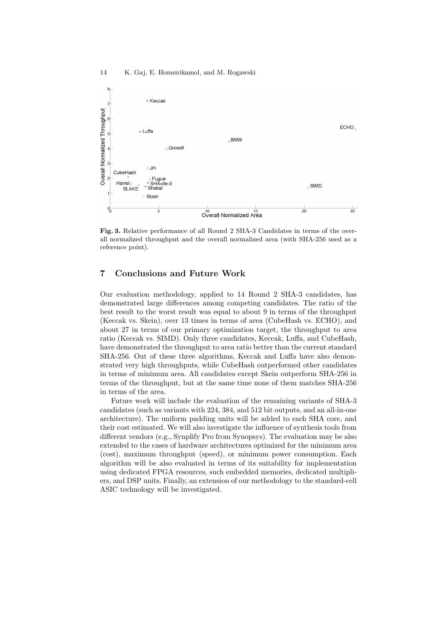

Fig. 3. Relative performance of all Round 2 SHA-3 Candidates in terms of the overall normalized throughput and the overall normalized area (with SHA-256 used as a reference point).

# 7 Conclusions and Future Work

Our evaluation methodology, applied to 14 Round 2 SHA-3 candidates, has demonstrated large differences among competing candidates. The ratio of the best result to the worst result was equal to about 9 in terms of the throughput (Keccak vs. Skein), over 13 times in terms of area (CubeHash vs. ECHO), and about 27 in terms of our primary optimization target, the throughput to area ratio (Keccak vs. SIMD). Only three candidates, Keccak, Luffa, and CubeHash, have demonstrated the throughput to area ratio better than the current standard SHA-256. Out of these three algorithms, Keccak and Luffa have also demonstrated very high throughputs, while CubeHash outperformed other candidates in terms of minimum area. All candidates except Skein outperform SHA-256 in terms of the throughput, but at the same time none of them matches SHA-256 in terms of the area.

Future work will include the evaluation of the remaining variants of SHA-3 candidates (such as variants with 224, 384, and 512 bit outputs, and an all-in-one architecture). The uniform padding units will be added to each SHA core, and their cost estimated. We will also investigate the influence of synthesis tools from different vendors (e.g., Synplify Pro from Synopsys). The evaluation may be also extended to the cases of hardware architectures optimized for the minimum area (cost), maximum throughput (speed), or minimum power consumption. Each algorithm will be also evaluated in terms of its suitability for implementation using dedicated FPGA resources, such embedded memories, dedicated multipliers, and DSP units. Finally, an extension of our methodology to the standard-cell ASIC technology will be investigated.